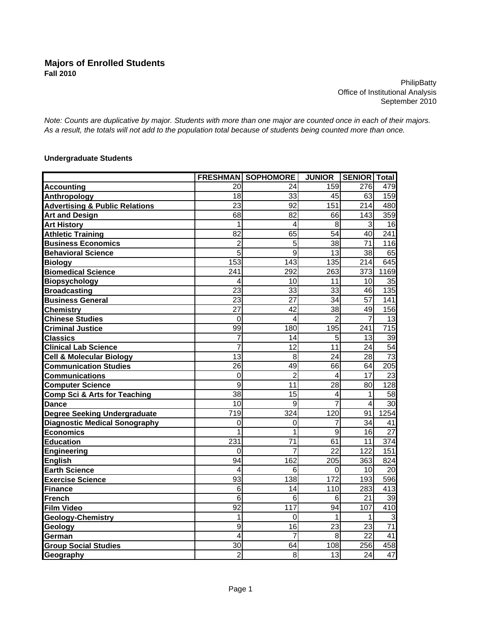**PhilipBatty** Office of Institutional Analysis September 2010

*Note: Counts are duplicative by major. Students with more than one major are counted once in each of their majors. As a result, the totals will not add to the population total because of students being counted more than once.*

## **Undergraduate Students**

|                                           |                  | <b>FRESHMAN SOPHOMORE</b> | <b>JUNIOR</b>   | <b>SENIOR Total</b> |                 |
|-------------------------------------------|------------------|---------------------------|-----------------|---------------------|-----------------|
| <b>Accounting</b>                         | 20               | 24                        | 159             | 276                 | 479             |
| <b>Anthropology</b>                       | 18               | 33                        | 45              | 63                  | 159             |
| <b>Advertising &amp; Public Relations</b> | 23               | 92                        | 151             | 214                 | 480             |
| <b>Art and Design</b>                     | 68               | 82                        | 66              | 143                 | 359             |
| <b>Art History</b>                        | 1                | 4                         | 8               | 3                   | 16              |
| <b>Athletic Training</b>                  | 82               | 65                        | 54              | 40                  | 241             |
| <b>Business Economics</b>                 | $\overline{2}$   | $\overline{5}$            | 38              | 71                  | 116             |
| <b>Behavioral Science</b>                 | 5                | 9                         | 13              | 38                  | 65              |
| <b>Biology</b>                            | 153              | 143                       | 135             | 214                 | 645             |
| <b>Biomedical Science</b>                 | 241              | 292                       | 263             | 373                 | 1169            |
| <b>Biopsychology</b>                      | 4                | 10                        | 11              | 10                  | 35              |
| <b>Broadcasting</b>                       | $\overline{23}$  | 33                        | 33              | 46                  | 135             |
| <b>Business General</b>                   | 23               | 27                        | 34              | 57                  | 141             |
| <b>Chemistry</b>                          | 27               | 42                        | 38              | 49                  | 156             |
| <b>Chinese Studies</b>                    | 0                | $\overline{4}$            | $\overline{2}$  | 7                   | 13              |
| <b>Criminal Justice</b>                   | 99               | 180                       | 195             | 241                 | 715             |
| <b>Classics</b>                           | 7                | 14                        | 5               | 13                  | 39              |
| <b>Clinical Lab Science</b>               | 7                | 12                        | 11              | 24                  | 54              |
| <b>Cell &amp; Molecular Biology</b>       | 13               | 8                         | 24              | 28                  | $\overline{73}$ |
| <b>Communication Studies</b>              | 26               | 49                        | 66              | 64                  | 205             |
| <b>Communications</b>                     | 0                | $\overline{2}$            | 4               | 17                  | 23              |
| <b>Computer Science</b>                   | 9                | 11                        | 28              | 80                  | 128             |
| <b>Comp Sci &amp; Arts for Teaching</b>   | 38               | 15                        | 4               | 1                   | 58              |
| <b>Dance</b>                              | 10               | 9                         | $\overline{7}$  | 4                   | 30              |
| Degree Seeking Undergraduate              | 719              | 324                       | 120             | 91                  | 1254            |
| <b>Diagnostic Medical Sonography</b>      | 0                | 0                         | 7               | 34                  | 41              |
| <b>Economics</b>                          | 1                | 1                         | 9               | 16                  | 27              |
| <b>Education</b>                          | 231              | $\overline{71}$           | 61              | 11                  | 374             |
| Engineering                               | $\Omega$         | 7                         | $\overline{22}$ | 122                 | 151             |
| <b>English</b>                            | 94               | 162                       | 205             | 363                 | 824             |
| <b>Earth Science</b>                      | 4                | 6                         | 0               | 10                  | 20              |
| <b>Exercise Science</b>                   | 93               | 138                       | 172             | 193                 | 596             |
| <b>Finance</b>                            | 6                | 14                        | 110             | 283                 | 413             |
| French                                    | 6                | 6                         | 6               | 21                  | 39              |
| <b>Film Video</b>                         | 92               | 117                       | 94              | 107                 | 410             |
| <b>Geology-Chemistry</b>                  | 1                | $\Omega$                  | 1               | 1                   | 3               |
| Geology                                   | $\boldsymbol{9}$ | 16                        | 23              | 23                  | 71              |
| German                                    | 4                | 7                         | 8               | 22                  | 41              |
| <b>Group Social Studies</b>               | 30               | 64                        | 108             | 256                 | 458             |
| Geography                                 | $\overline{2}$   | 8                         | 13              | 24                  | 47              |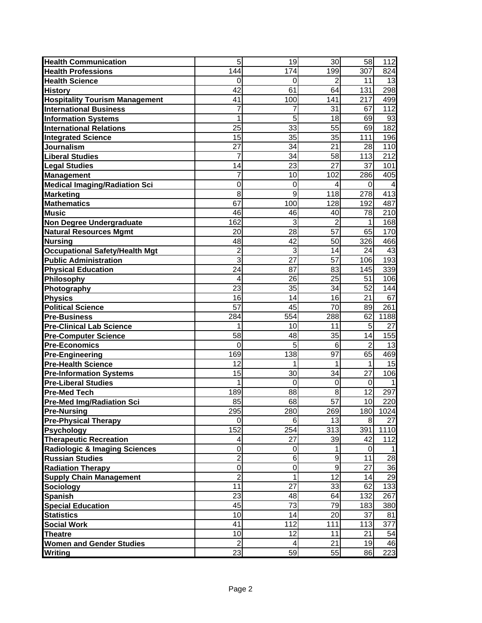| <b>Health Communication</b>              | 5              | 19          | 30              | 58             | 112  |
|------------------------------------------|----------------|-------------|-----------------|----------------|------|
| <b>Health Professions</b>                | 144            | 174         | 199             | 307            | 824  |
| <b>Health Science</b>                    | 0              | 0           | 2               | 11             | 13   |
| <b>History</b>                           | 42             | 61          | 64              | 131            | 298  |
| <b>Hospitality Tourism Management</b>    | 41             | 100         | 141             | 217            | 499  |
| <b>International Business</b>            | 7              | 7           | 31              | 67             | 112  |
| <b>Information Systems</b>               | 1              | 5           | 18              | 69             | 93   |
| <b>International Relations</b>           | 25             | 33          | 55              | 69             | 182  |
| <b>Integrated Science</b>                | 15             | 35          | 35              | 111            | 196  |
| Journalism                               | 27             | 34          | 21              | 28             | 110  |
| <b>Liberal Studies</b>                   | 7              | 34          | 58              | 113            | 212  |
| <b>Legal Studies</b>                     | 14             | 23          | $\overline{27}$ | 37             | 101  |
| <b>Management</b>                        | 7              | 10          | 102             | 286            | 405  |
| <b>Medical Imaging/Radiation Sci</b>     | 0              | 0           | 4               | $\Omega$       | 4    |
| <b>Marketing</b>                         | 8              | 9           | 118             | 278            | 413  |
| <b>Mathematics</b>                       | 67             | 100         | 128             | 192            | 487  |
| <b>Music</b>                             | 46             | 46          | 40              | 78             | 210  |
| Non Degree Undergraduate                 | 162            | 3           | $\overline{2}$  | 1              | 168  |
| <b>Natural Resources Mgmt</b>            | 20             | 28          | 57              | 65             | 170  |
| <b>Nursing</b>                           | 48             | 42          | 50              | 326            | 466  |
| <b>Occupational Safety/Health Mgt</b>    | $\overline{2}$ | 3           | 14              | 24             | 43   |
| <b>Public Administration</b>             | 3              | 27          | 57              | 106            | 193  |
| <b>Physical Education</b>                | 24             | 87          | 83              | 145            | 339  |
| Philosophy                               | 4              | 26          | 25              | 51             | 106  |
| Photography                              | 23             | 35          | 34              | 52             | 144  |
| <b>Physics</b>                           | 16             | 14          | 16              | 21             | 67   |
| <b>Political Science</b>                 | 57             | 45          | 70              | 89             | 261  |
| <b>Pre-Business</b>                      | 284            | 554         | 288             | 62             | 1188 |
| <b>Pre-Clinical Lab Science</b>          | 1              | 10          | 11              | 5              | 27   |
| <b>Pre-Computer Science</b>              | 58             | 48          | 35              | 14             | 155  |
| <b>Pre-Economics</b>                     | 0              | 5           | 6               | $\overline{2}$ | 13   |
| <b>Pre-Engineering</b>                   | 169            | 138         | 97              | 65             | 469  |
| <b>Pre-Health Science</b>                | 12             | 1           |                 | 1              | 15   |
| <b>Pre-Information Systems</b>           | 15             | 30          | 34              | 27             | 106  |
| <b>Pre-Liberal Studies</b>               | 1              | 0           | $\mathbf 0$     | $\mathbf 0$    |      |
| <b>Pre-Med Tech</b>                      | 189            | 88          | 8               | 12             | 297  |
| <b>Pre-Med Img/Radiation Sci</b>         | 85             | 68          | 57              | 10             | 220  |
| <b>Pre-Nursing</b>                       | 295            | 280         | 269             | 180            | 1024 |
| <b>Pre-Physical Therapy</b>              | 0              | 6           | 13              | 8              | 27   |
| <b>Psychology</b>                        | 152            | 254         | 313             | 391            | 1110 |
| <b>Therapeutic Recreation</b>            | 4              | 27          | 39              | 42             | 112  |
| <b>Radiologic &amp; Imaging Sciences</b> | 0              | 0           | 1               | 0              |      |
| <b>Russian Studies</b>                   | $\overline{2}$ | 6           | 9               | 11             | 28   |
| <b>Radiation Therapy</b>                 | $\overline{0}$ | $\mathbf 0$ | 9               | 27             | 36   |
| <b>Supply Chain Management</b>           | $\overline{2}$ | 1           | 12              | 14             | 29   |
| <b>Sociology</b>                         | 11             | 27          | 33              | 62             | 133  |
| <b>Spanish</b>                           | 23             | 48          | 64              | 132            | 267  |
| <b>Special Education</b>                 | 45             | 73          | 79              | 183            | 380  |
| <b>Statistics</b>                        | 10             | 14          | 20              | 37             | 81   |
| <b>Social Work</b>                       | 41             | 112         | 111             | 113            | 377  |
| <b>Theatre</b>                           | 10             | 12          | 11              | 21             | 54   |
| <b>Women and Gender Studies</b>          | $\overline{2}$ | 4           | 21              | 19             | 46   |
| Writing                                  | 23             | 59          | 55              | 86             | 223  |